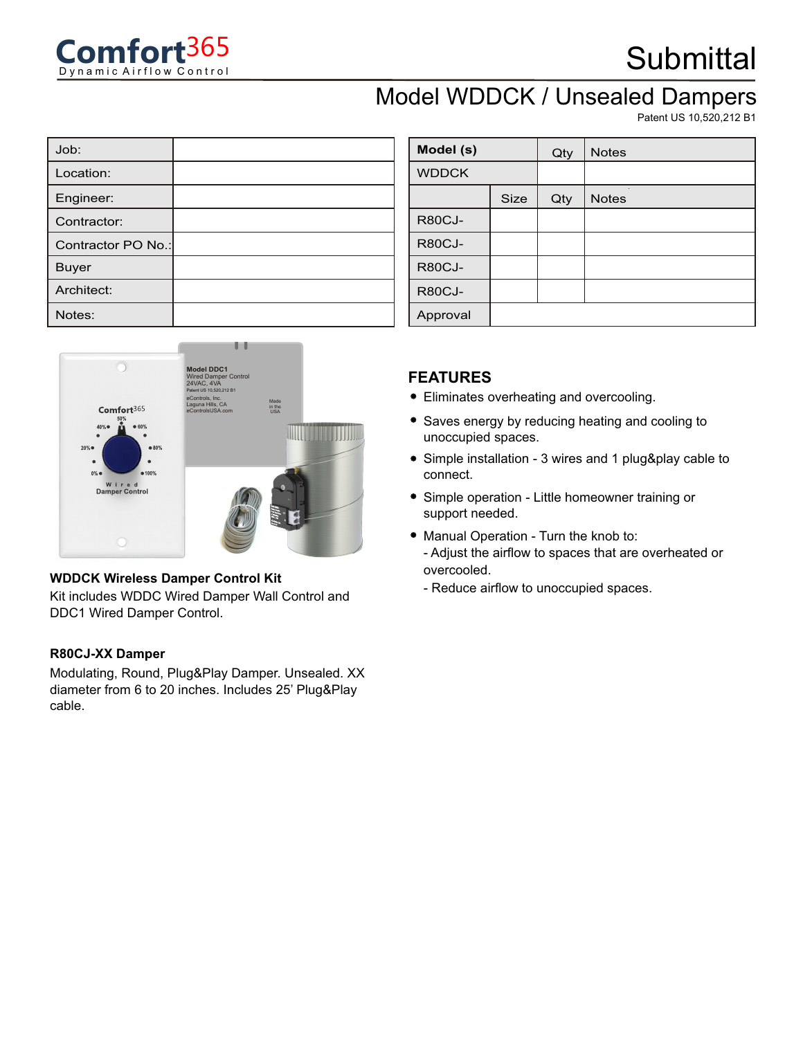

## **Submittal**

### Model WDDCK / Unsealed Dampers

Patent US 10,520,212 B1

| Job:               |  |
|--------------------|--|
| Location:          |  |
| Engineer:          |  |
| Contractor:        |  |
| Contractor PO No.: |  |
| <b>Buyer</b>       |  |
| Architect:         |  |
| Notes:             |  |



#### **WDDCK Wireless Damper Control Kit**

Kit includes WDDC Wired Damper Wall Control and DDC1 Wired Damper Control.

#### **R80CJ-XX Damper**

Modulating, Round, Plug&Play Damper. Unsealed. XX diameter from 6 to 20 inches. Includes 25' Plug&Play cable.

| Model (s)     |             | Qty | <b>Notes</b> |
|---------------|-------------|-----|--------------|
| <b>WDDCK</b>  |             |     |              |
|               | <b>Size</b> | Qty | <b>Notes</b> |
| <b>R80CJ-</b> |             |     |              |
| <b>R80CJ-</b> |             |     |              |
| <b>R80CJ-</b> |             |     |              |
| <b>R80CJ-</b> |             |     |              |
| Approval      |             |     |              |

### **FEATURES**

- Eliminates overheating and overcooling.
- Saves energy by reducing heating and cooling to unoccupied spaces.
- Simple installation 3 wires and 1 plug&play cable to connect.
- Simple operation Little homeowner training or support needed.
- Manual Operation Turn the knob to:
	- Adjust the airflow to spaces that are overheated or overcooled.
	- Reduce airflow to unoccupied spaces.